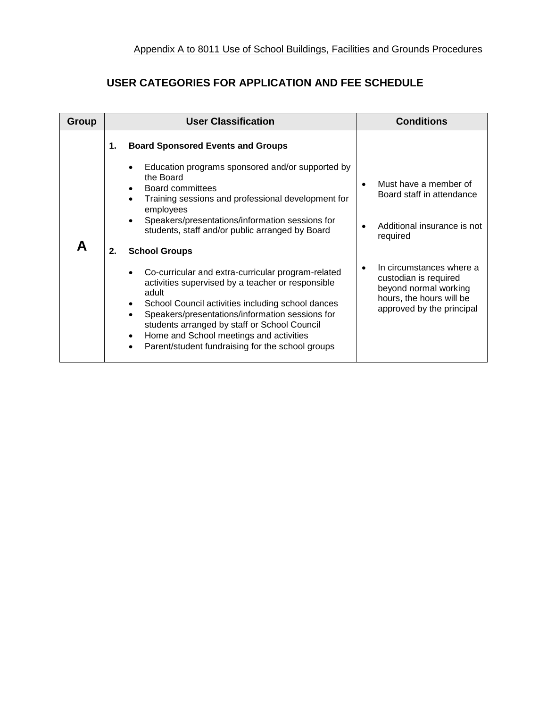## **USER CATEGORIES FOR APPLICATION AND FEE SCHEDULE**

| Group | <b>User Classification</b> |                                                                                                                                                                                                                                                                                                                                                                                                                                                                                                         | <b>Conditions</b>                                     |                                                                                                                                                                             |
|-------|----------------------------|---------------------------------------------------------------------------------------------------------------------------------------------------------------------------------------------------------------------------------------------------------------------------------------------------------------------------------------------------------------------------------------------------------------------------------------------------------------------------------------------------------|-------------------------------------------------------|-----------------------------------------------------------------------------------------------------------------------------------------------------------------------------|
|       | 1.<br>2.                   | <b>Board Sponsored Events and Groups</b><br>Education programs sponsored and/or supported by<br>the Board<br>Board committees<br>Training sessions and professional development for<br>employees<br>Speakers/presentations/information sessions for<br>students, staff and/or public arranged by Board<br><b>School Groups</b><br>Co-curricular and extra-curricular program-related<br>activities supervised by a teacher or responsible<br>adult<br>School Council activities including school dances |                                                       | Must have a member of<br>Board staff in attendance<br>Additional insurance is not<br>required<br>In circumstances where a<br>custodian is required<br>beyond normal working |
|       |                            | Speakers/presentations/information sessions for<br>students arranged by staff or School Council<br>Home and School meetings and activities<br>$\bullet$<br>Parent/student fundraising for the school groups<br>$\bullet$                                                                                                                                                                                                                                                                                | hours, the hours will be<br>approved by the principal |                                                                                                                                                                             |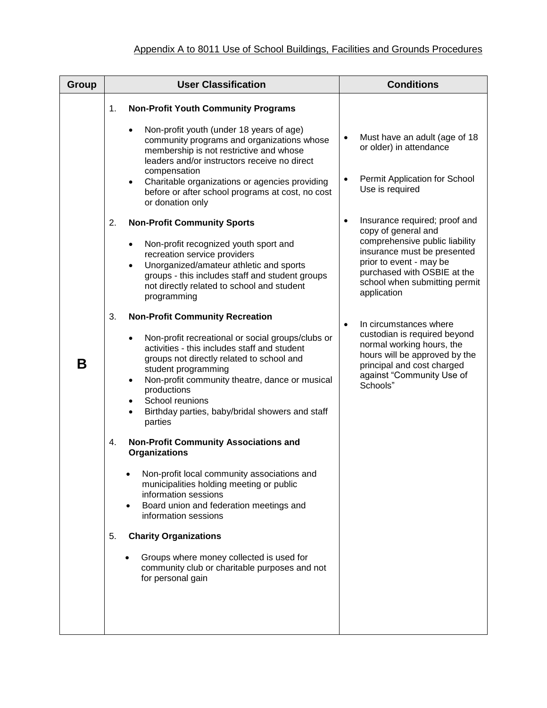| <b>Group</b> | <b>User Classification</b>                                                                                                                                                                                                                                                                                                                                                                                                                                                                                                                                                                                                                                            | <b>Conditions</b>                                                                                                                                                                                                                            |  |
|--------------|-----------------------------------------------------------------------------------------------------------------------------------------------------------------------------------------------------------------------------------------------------------------------------------------------------------------------------------------------------------------------------------------------------------------------------------------------------------------------------------------------------------------------------------------------------------------------------------------------------------------------------------------------------------------------|----------------------------------------------------------------------------------------------------------------------------------------------------------------------------------------------------------------------------------------------|--|
|              | <b>Non-Profit Youth Community Programs</b><br>1.                                                                                                                                                                                                                                                                                                                                                                                                                                                                                                                                                                                                                      |                                                                                                                                                                                                                                              |  |
|              | Non-profit youth (under 18 years of age)<br>٠<br>community programs and organizations whose<br>membership is not restrictive and whose<br>leaders and/or instructors receive no direct<br>compensation<br>Charitable organizations or agencies providing<br>$\bullet$<br>before or after school programs at cost, no cost<br>or donation only                                                                                                                                                                                                                                                                                                                         | Must have an adult (age of 18<br>$\bullet$<br>or older) in attendance<br>Permit Application for School<br>$\bullet$<br>Use is required                                                                                                       |  |
|              | <b>Non-Profit Community Sports</b><br>2.<br>Non-profit recognized youth sport and<br>$\bullet$<br>recreation service providers<br>Unorganized/amateur athletic and sports<br>$\bullet$<br>groups - this includes staff and student groups<br>not directly related to school and student<br>programming                                                                                                                                                                                                                                                                                                                                                                | Insurance required; proof and<br>$\bullet$<br>copy of general and<br>comprehensive public liability<br>insurance must be presented<br>prior to event - may be<br>purchased with OSBIE at the<br>school when submitting permit<br>application |  |
| Β            | 3.<br><b>Non-Profit Community Recreation</b><br>Non-profit recreational or social groups/clubs or<br>activities - this includes staff and student<br>groups not directly related to school and<br>student programming<br>Non-profit community theatre, dance or musical<br>$\bullet$<br>productions<br>School reunions<br>$\bullet$<br>Birthday parties, baby/bridal showers and staff<br>parties<br><b>Non-Profit Community Associations and</b><br>4.<br><b>Organizations</b><br>Non-profit local community associations and<br>municipalities holding meeting or public<br>information sessions<br>Board union and federation meetings and<br>information sessions | In circumstances where<br>$\bullet$<br>custodian is required beyond<br>normal working hours, the<br>hours will be approved by the<br>principal and cost charged<br>against "Community Use of<br>Schools"                                     |  |
|              | <b>Charity Organizations</b><br>5.<br>Groups where money collected is used for<br>community club or charitable purposes and not<br>for personal gain                                                                                                                                                                                                                                                                                                                                                                                                                                                                                                                  |                                                                                                                                                                                                                                              |  |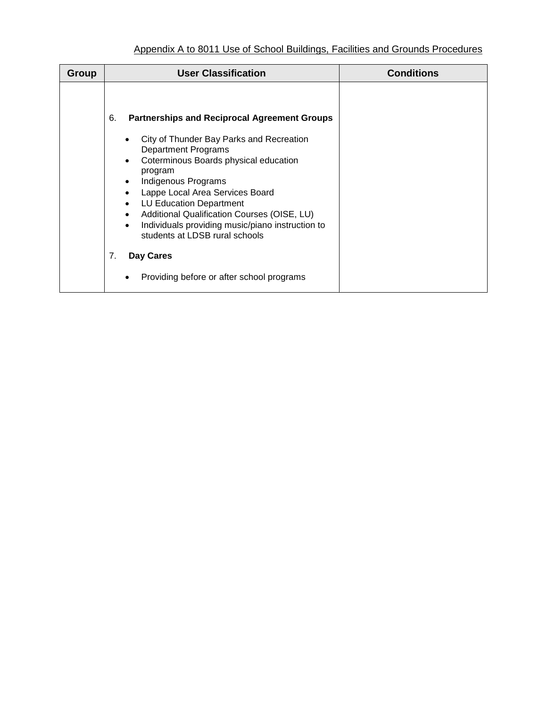| Group | <b>User Classification</b>                                                                                                                                                                                                                                                                                                                                                                                                                         | <b>Conditions</b> |
|-------|----------------------------------------------------------------------------------------------------------------------------------------------------------------------------------------------------------------------------------------------------------------------------------------------------------------------------------------------------------------------------------------------------------------------------------------------------|-------------------|
|       | 6.<br><b>Partnerships and Reciprocal Agreement Groups</b><br>City of Thunder Bay Parks and Recreation<br><b>Department Programs</b><br>Coterminous Boards physical education<br>program<br>Indigenous Programs<br>Lappe Local Area Services Board<br><b>LU Education Department</b><br>$\bullet$<br>Additional Qualification Courses (OISE, LU)<br>Individuals providing music/piano instruction to<br>$\bullet$<br>students at LDSB rural schools |                   |
|       | 7.<br>Day Cares<br>Providing before or after school programs                                                                                                                                                                                                                                                                                                                                                                                       |                   |